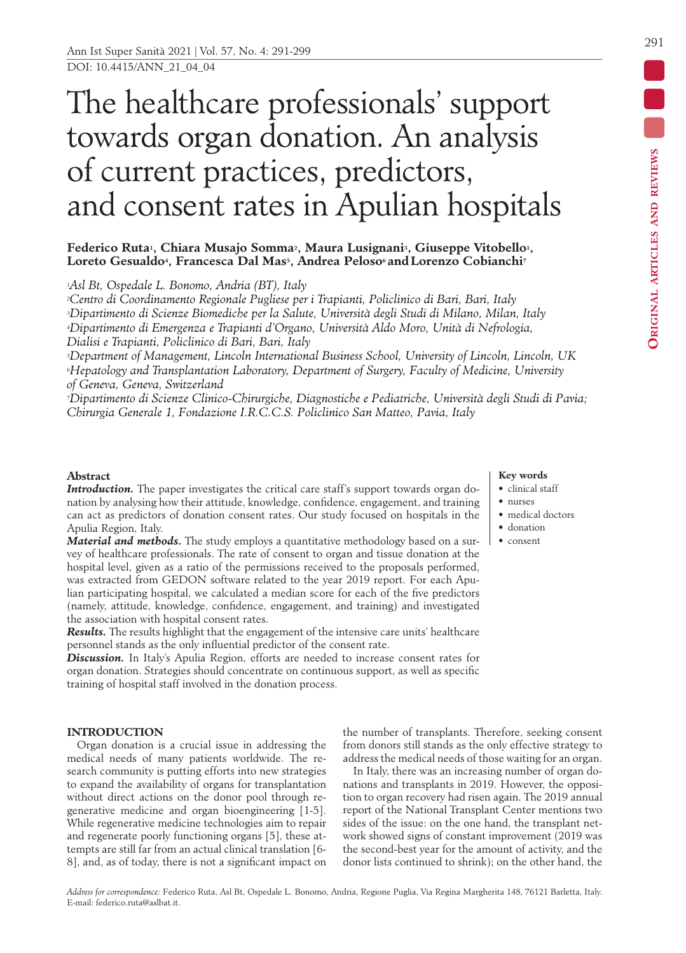# The healthcare professionals' support towards organ donation. An analysis of current practices, predictors, and consent rates in Apulian hospitals

# Federico Ruta<sup>1</sup>, Chiara Musajo Somma<sup>2</sup>, Maura Lusignani<sup>3</sup>, Giuseppe Vitobello<sup>1</sup>, **Loreto Gesualdo4, Francesca Dal Mas5, Andrea Peloso6 and Lorenzo Cobianchi7**

*1Asl Bt, Ospedale L. Bonomo, Andria (BT), Italy*

*2Centro di Coordinamento Regionale Pugliese per i Trapianti, Policlinico di Bari, Bari, Italy 3Dipartimento di Scienze Biomediche per la Salute, Università degli Studi di Milano, Milan, Italy 4Dipartimento di Emergenza e Trapianti d'Organo, Università Aldo Moro, Unità di Nefrologia, Dialisi e Trapianti, Policlinico di Bari, Bari, Italy*

*5Department of Management, Lincoln International Business School, University of Lincoln, Lincoln, UK 6Hepatology and Transplantation Laboratory, Department of Surgery, Faculty of Medicine, University of Geneva, Geneva, Switzerland*

*7Dipartimento di Scienze Clinico-Chirurgiche, Diagnostiche e Pediatriche, Università degli Studi di Pavia; Chirurgia Generale 1, Fondazione I.R.C.C.S. Policlinico San Matteo, Pavia, Italy*

# **Abstract**

Introduction. The paper investigates the critical care staff's support towards organ donation by analysing how their attitude, knowledge, confidence, engagement, and training can act as predictors of donation consent rates. Our study focused on hospitals in the Apulia Region, Italy.

*Material and methods.* The study employs a quantitative methodology based on a survey of healthcare professionals. The rate of consent to organ and tissue donation at the hospital level, given as a ratio of the permissions received to the proposals performed, was extracted from GEDON software related to the year 2019 report. For each Apulian participating hospital, we calculated a median score for each of the five predictors (namely, attitude, knowledge, confidence, engagement, and training) and investigated the association with hospital consent rates.

*Results.* The results highlight that the engagement of the intensive care units' healthcare personnel stands as the only influential predictor of the consent rate.

*Discussion.* In Italy's Apulia Region, efforts are needed to increase consent rates for organ donation. Strategies should concentrate on continuous support, as well as specific training of hospital staff involved in the donation process.

# **INTRODUCTION**

Organ donation is a crucial issue in addressing the medical needs of many patients worldwide. The research community is putting efforts into new strategies to expand the availability of organs for transplantation without direct actions on the donor pool through regenerative medicine and organ bioengineering [1-5]. While regenerative medicine technologies aim to repair and regenerate poorly functioning organs [5], these attempts are still far from an actual clinical translation [6- 8], and, as of today, there is not a significant impact on

#### **Key words** • clinical staff • nurses

- medical doctors
- donation
- consent

the number of transplants. Therefore, seeking consent from donors still stands as the only effective strategy to address the medical needs of those waiting for an organ.

In Italy, there was an increasing number of organ donations and transplants in 2019. However, the opposition to organ recovery had risen again. The 2019 annual report of the National Transplant Center mentions two sides of the issue: on the one hand, the transplant network showed signs of constant improvement (2019 was the second-best year for the amount of activity, and the donor lists continued to shrink); on the other hand, the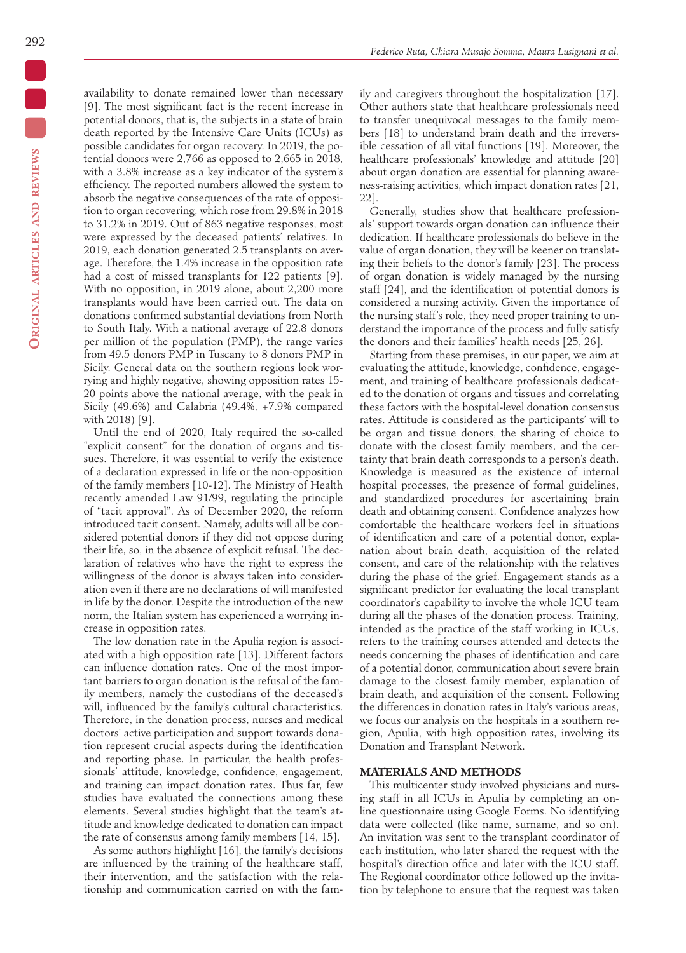availability to donate remained lower than necessary [9]. The most significant fact is the recent increase in potential donors, that is, the subjects in a state of brain death reported by the Intensive Care Units (ICUs) as possible candidates for organ recovery. In 2019, the potential donors were 2,766 as opposed to 2,665 in 2018, with a 3.8% increase as a key indicator of the system's efficiency. The reported numbers allowed the system to absorb the negative consequences of the rate of opposition to organ recovering, which rose from 29.8% in 2018 to 31.2% in 2019. Out of 863 negative responses, most were expressed by the deceased patients' relatives. In 2019, each donation generated 2.5 transplants on average. Therefore, the 1.4% increase in the opposition rate had a cost of missed transplants for 122 patients [9]. With no opposition, in 2019 alone, about 2,200 more transplants would have been carried out. The data on donations confirmed substantial deviations from North to South Italy. With a national average of 22.8 donors per million of the population (PMP), the range varies from 49.5 donors PMP in Tuscany to 8 donors PMP in Sicily. General data on the southern regions look worrying and highly negative, showing opposition rates 15- 20 points above the national average, with the peak in Sicily (49.6%) and Calabria (49.4%, +7.9% compared with 2018) [9].

Until the end of 2020, Italy required the so-called "explicit consent" for the donation of organs and tissues. Therefore, it was essential to verify the existence of a declaration expressed in life or the non-opposition of the family members [10-12]. The Ministry of Health recently amended Law 91/99, regulating the principle of "tacit approval". As of December 2020, the reform introduced tacit consent. Namely, adults will all be considered potential donors if they did not oppose during their life, so, in the absence of explicit refusal. The declaration of relatives who have the right to express the willingness of the donor is always taken into consideration even if there are no declarations of will manifested in life by the donor. Despite the introduction of the new norm, the Italian system has experienced a worrying increase in opposition rates.

The low donation rate in the Apulia region is associated with a high opposition rate [13]. Different factors can influence donation rates. One of the most important barriers to organ donation is the refusal of the family members, namely the custodians of the deceased's will, influenced by the family's cultural characteristics. Therefore, in the donation process, nurses and medical doctors' active participation and support towards donation represent crucial aspects during the identification and reporting phase. In particular, the health professionals' attitude, knowledge, confidence, engagement, and training can impact donation rates. Thus far, few studies have evaluated the connections among these elements. Several studies highlight that the team's attitude and knowledge dedicated to donation can impact the rate of consensus among family members [14, 15].

As some authors highlight [16], the family's decisions are influenced by the training of the healthcare staff, their intervention, and the satisfaction with the relationship and communication carried on with the fam-

ily and caregivers throughout the hospitalization [17]. Other authors state that healthcare professionals need to transfer unequivocal messages to the family members [18] to understand brain death and the irreversible cessation of all vital functions [19]. Moreover, the healthcare professionals' knowledge and attitude [20] about organ donation are essential for planning awareness-raising activities, which impact donation rates [21, 22].

Generally, studies show that healthcare professionals' support towards organ donation can influence their dedication. If healthcare professionals do believe in the value of organ donation, they will be keener on translating their beliefs to the donor's family [23]. The process of organ donation is widely managed by the nursing staff [24], and the identification of potential donors is considered a nursing activity. Given the importance of the nursing staff's role, they need proper training to understand the importance of the process and fully satisfy the donors and their families' health needs [25, 26].

Starting from these premises, in our paper, we aim at evaluating the attitude, knowledge, confidence, engagement, and training of healthcare professionals dedicated to the donation of organs and tissues and correlating these factors with the hospital-level donation consensus rates. Attitude is considered as the participants' will to be organ and tissue donors, the sharing of choice to donate with the closest family members, and the certainty that brain death corresponds to a person's death. Knowledge is measured as the existence of internal hospital processes, the presence of formal guidelines, and standardized procedures for ascertaining brain death and obtaining consent. Confidence analyzes how comfortable the healthcare workers feel in situations of identification and care of a potential donor, explanation about brain death, acquisition of the related consent, and care of the relationship with the relatives during the phase of the grief. Engagement stands as a significant predictor for evaluating the local transplant coordinator's capability to involve the whole ICU team during all the phases of the donation process. Training, intended as the practice of the staff working in ICUs, refers to the training courses attended and detects the needs concerning the phases of identification and care of a potential donor, communication about severe brain damage to the closest family member, explanation of brain death, and acquisition of the consent. Following the differences in donation rates in Italy's various areas, we focus our analysis on the hospitals in a southern region, Apulia, with high opposition rates, involving its Donation and Transplant Network.

## **MATERIALS AND METHODS**

This multicenter study involved physicians and nursing staff in all ICUs in Apulia by completing an online questionnaire using Google Forms. No identifying data were collected (like name, surname, and so on). An invitation was sent to the transplant coordinator of each institution, who later shared the request with the hospital's direction office and later with the ICU staff. The Regional coordinator office followed up the invitation by telephone to ensure that the request was taken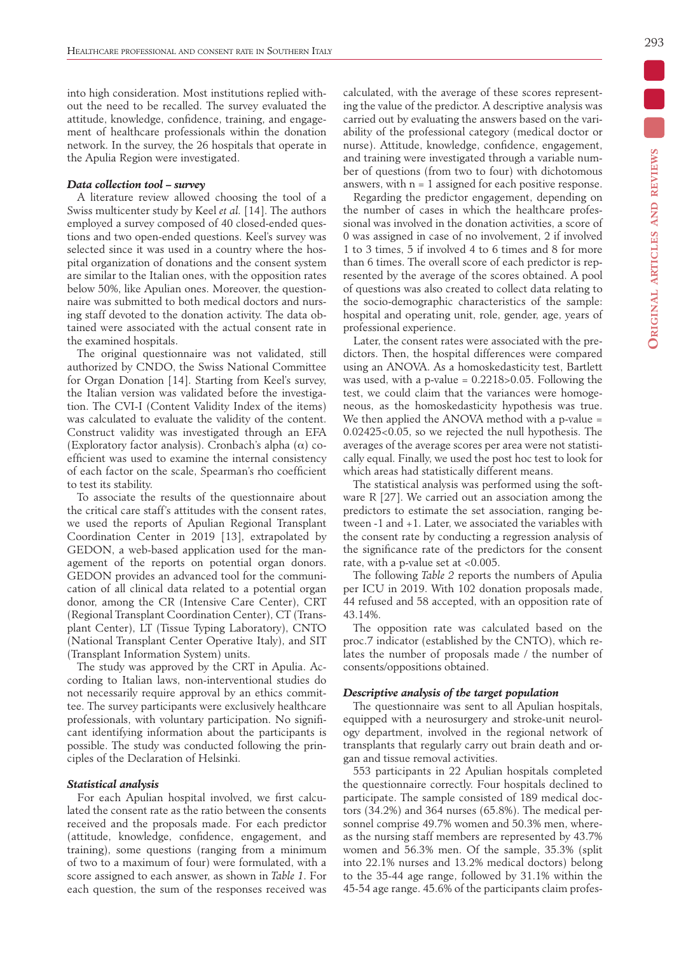into high consideration. Most institutions replied without the need to be recalled. The survey evaluated the attitude, knowledge, confidence, training, and engagement of healthcare professionals within the donation network. In the survey, the 26 hospitals that operate in the Apulia Region were investigated.

## *Data collection tool – survey*

A literature review allowed choosing the tool of a Swiss multicenter study by Keel *et al.* [14]. The authors employed a survey composed of 40 closed-ended questions and two open-ended questions. Keel's survey was selected since it was used in a country where the hospital organization of donations and the consent system are similar to the Italian ones, with the opposition rates below 50%, like Apulian ones. Moreover, the questionnaire was submitted to both medical doctors and nursing staff devoted to the donation activity. The data obtained were associated with the actual consent rate in the examined hospitals.

The original questionnaire was not validated, still authorized by CNDO, the Swiss National Committee for Organ Donation [14]. Starting from Keel's survey, the Italian version was validated before the investigation. The CVI-I (Content Validity Index of the items) was calculated to evaluate the validity of the content. Construct validity was investigated through an EFA (Exploratory factor analysis). Cronbach's alpha (α) coefficient was used to examine the internal consistency of each factor on the scale, Spearman's rho coefficient to test its stability.

To associate the results of the questionnaire about the critical care staff's attitudes with the consent rates, we used the reports of Apulian Regional Transplant Coordination Center in 2019 [13], extrapolated by GEDON, a web-based application used for the management of the reports on potential organ donors. GEDON provides an advanced tool for the communication of all clinical data related to a potential organ donor, among the CR (Intensive Care Center), CRT (Regional Transplant Coordination Center), CT (Transplant Center), LT (Tissue Typing Laboratory), CNTO (National Transplant Center Operative Italy), and SIT (Transplant Information System) units.

The study was approved by the CRT in Apulia. According to Italian laws, non-interventional studies do not necessarily require approval by an ethics committee. The survey participants were exclusively healthcare professionals, with voluntary participation. No significant identifying information about the participants is possible. The study was conducted following the principles of the Declaration of Helsinki.

## *Statistical analysis*

For each Apulian hospital involved, we first calculated the consent rate as the ratio between the consents received and the proposals made. For each predictor (attitude, knowledge, confidence, engagement, and training), some questions (ranging from a minimum of two to a maximum of four) were formulated, with a score assigned to each answer, as shown in *Table 1*. For each question, the sum of the responses received was calculated, with the average of these scores representing the value of the predictor. A descriptive analysis was carried out by evaluating the answers based on the variability of the professional category (medical doctor or nurse). Attitude, knowledge, confidence, engagement, and training were investigated through a variable number of questions (from two to four) with dichotomous answers, with  $n = 1$  assigned for each positive response.

Regarding the predictor engagement, depending on the number of cases in which the healthcare professional was involved in the donation activities, a score of 0 was assigned in case of no involvement, 2 if involved 1 to 3 times, 5 if involved 4 to 6 times and 8 for more than 6 times. The overall score of each predictor is represented by the average of the scores obtained. A pool of questions was also created to collect data relating to the socio-demographic characteristics of the sample: hospital and operating unit, role, gender, age, years of professional experience.

Later, the consent rates were associated with the predictors. Then, the hospital differences were compared using an ANOVA. As a homoskedasticity test, Bartlett was used, with a p-value  $= 0.2218 > 0.05$ . Following the test, we could claim that the variances were homogeneous, as the homoskedasticity hypothesis was true. We then applied the ANOVA method with a p-value = 0.02425<0.05, so we rejected the null hypothesis. The averages of the average scores per area were not statistically equal. Finally, we used the post hoc test to look for which areas had statistically different means.

The statistical analysis was performed using the software R [27]. We carried out an association among the predictors to estimate the set association, ranging between -1 and +1. Later, we associated the variables with the consent rate by conducting a regression analysis of the significance rate of the predictors for the consent rate, with a p-value set at <0.005.

The following *Table 2* reports the numbers of Apulia per ICU in 2019. With 102 donation proposals made, 44 refused and 58 accepted, with an opposition rate of 43.14%.

The opposition rate was calculated based on the proc.7 indicator (established by the CNTO), which relates the number of proposals made / the number of consents/oppositions obtained.

## *Descriptive analysis of the target population*

The questionnaire was sent to all Apulian hospitals, equipped with a neurosurgery and stroke-unit neurology department, involved in the regional network of transplants that regularly carry out brain death and organ and tissue removal activities.

553 participants in 22 Apulian hospitals completed the questionnaire correctly. Four hospitals declined to participate. The sample consisted of 189 medical doctors (34.2%) and 364 nurses (65.8%). The medical personnel comprise 49.7% women and 50.3% men, whereas the nursing staff members are represented by 43.7% women and 56.3% men. Of the sample, 35.3% (split into 22.1% nurses and 13.2% medical doctors) belong to the 35-44 age range, followed by 31.1% within the 45-54 age range. 45.6% of the participants claim profes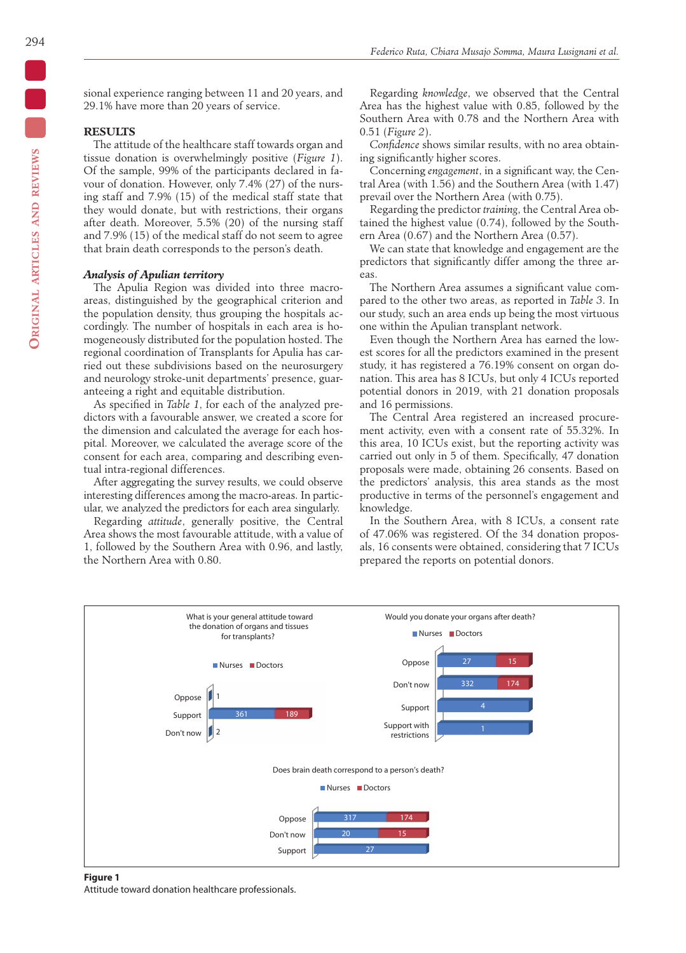sional experience ranging between 11 and 20 years, and 29.1% have more than 20 years of service.

# **RESULTS**

The attitude of the healthcare staff towards organ and tissue donation is overwhelmingly positive (*Figure 1*). Of the sample, 99% of the participants declared in favour of donation. However, only 7.4% (27) of the nursing staff and 7.9% (15) of the medical staff state that they would donate, but with restrictions, their organs after death. Moreover, 5.5% (20) of the nursing staff and 7.9% (15) of the medical staff do not seem to agree that brain death corresponds to the person's death.

#### *Analysis of Apulian territory*

The Apulia Region was divided into three macroareas, distinguished by the geographical criterion and the population density, thus grouping the hospitals accordingly. The number of hospitals in each area is homogeneously distributed for the population hosted. The regional coordination of Transplants for Apulia has carried out these subdivisions based on the neurosurgery and neurology stroke-unit departments' presence, guaranteeing a right and equitable distribution.

As specified in *Table 1*, for each of the analyzed predictors with a favourable answer, we created a score for the dimension and calculated the average for each hospital. Moreover, we calculated the average score of the consent for each area, comparing and describing eventual intra-regional differences.

After aggregating the survey results, we could observe interesting differences among the macro-areas. In particular, we analyzed the predictors for each area singularly.

Regarding *attitude*, generally positive, the Central Area shows the most favourable attitude, with a value of 1, followed by the Southern Area with 0.96, and lastly, the Northern Area with 0.80.

Regarding *knowledge*, we observed that the Central Area has the highest value with 0.85, followed by the Southern Area with 0.78 and the Northern Area with 0.51 (*Figure 2*).

*Confidence* shows similar results, with no area obtaining significantly higher scores.

Concerning *engagement*, in a significant way, the Central Area (with 1.56) and the Southern Area (with 1.47) prevail over the Northern Area (with 0.75).

Regarding the predictor *training*, the Central Area obtained the highest value (0.74), followed by the Southern Area (0.67) and the Northern Area (0.57).

We can state that knowledge and engagement are the predictors that significantly differ among the three areas.

The Northern Area assumes a significant value compared to the other two areas, as reported in *Table 3*. In our study, such an area ends up being the most virtuous one within the Apulian transplant network.

Even though the Northern Area has earned the lowest scores for all the predictors examined in the present study, it has registered a 76.19% consent on organ donation. This area has 8 ICUs, but only 4 ICUs reported potential donors in 2019, with 21 donation proposals and 16 permissions.

The Central Area registered an increased procurement activity, even with a consent rate of 55.32%. In this area, 10 ICUs exist, but the reporting activity was carried out only in 5 of them. Specifically, 47 donation proposals were made, obtaining 26 consents. Based on the predictors' analysis, this area stands as the most productive in terms of the personnel's engagement and knowledge.

In the Southern Area, with 8 ICUs, a consent rate of 47.06% was registered. Of the 34 donation proposals, 16 consents were obtained, considering that 7 ICUs prepared the reports on potential donors.



#### **Figure 1**

Attitude toward donation healthcare professionals.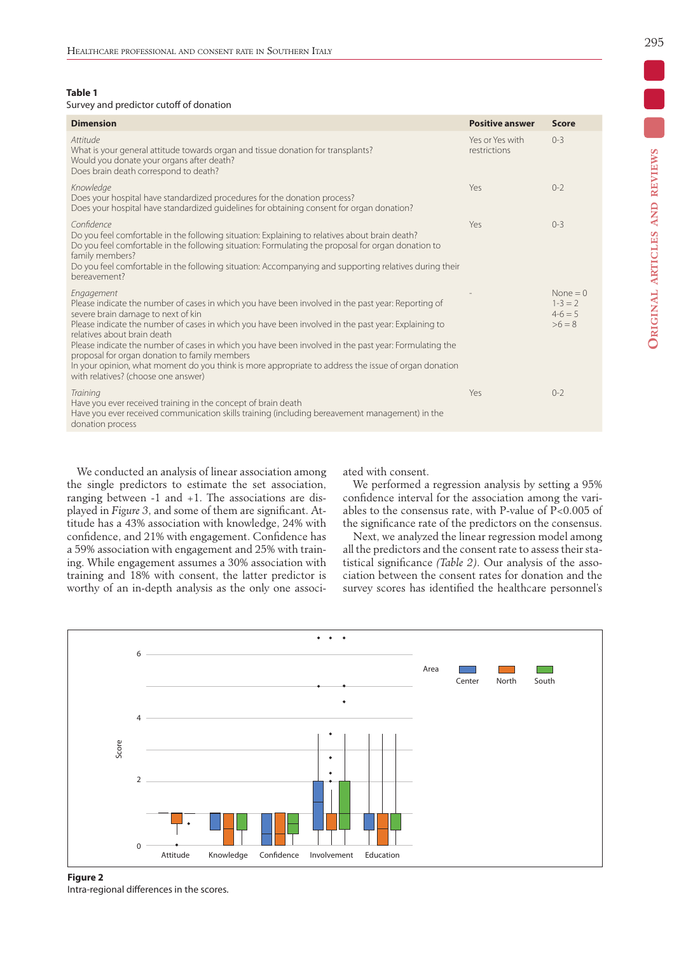**Table 1**

#### Survey and predictor cutoff of donation

| <b>Dimension</b>                                                                                                                                                                                                                                                                                                                                                                                                                                                                                                                                                                                      | <b>Positive answer</b>          | <b>Score</b>                                 |
|-------------------------------------------------------------------------------------------------------------------------------------------------------------------------------------------------------------------------------------------------------------------------------------------------------------------------------------------------------------------------------------------------------------------------------------------------------------------------------------------------------------------------------------------------------------------------------------------------------|---------------------------------|----------------------------------------------|
| Attitude<br>What is your general attitude towards organ and tissue donation for transplants?<br>Would you donate your organs after death?<br>Does brain death correspond to death?                                                                                                                                                                                                                                                                                                                                                                                                                    | Yes or Yes with<br>restrictions | $0 - 3$                                      |
| Knowledge<br>Does your hospital have standardized procedures for the donation process?<br>Does your hospital have standardized quidelines for obtaining consent for organ donation?                                                                                                                                                                                                                                                                                                                                                                                                                   | Yes                             | $O-2$                                        |
| Confidence<br>Do you feel comfortable in the following situation: Explaining to relatives about brain death?<br>Do you feel comfortable in the following situation: Formulating the proposal for organ donation to<br>family members?<br>Do you feel comfortable in the following situation: Accompanying and supporting relatives during their<br>bereavement?                                                                                                                                                                                                                                       | Yes                             | $O-3$                                        |
| Engagement<br>Please indicate the number of cases in which you have been involved in the past year: Reporting of<br>severe brain damage to next of kin<br>Please indicate the number of cases in which you have been involved in the past year: Explaining to<br>relatives about brain death<br>Please indicate the number of cases in which you have been involved in the past year: Formulating the<br>proposal for organ donation to family members<br>In your opinion, what moment do you think is more appropriate to address the issue of organ donation<br>with relatives? (choose one answer) |                                 | None $= 0$<br>$1-3=2$<br>$4-6=5$<br>$>6 = 8$ |
| Training<br>Have you ever received training in the concept of brain death<br>Have you ever received communication skills training (including bereavement management) in the<br>donation process                                                                                                                                                                                                                                                                                                                                                                                                       | Yes                             | $() - ?$                                     |

We conducted an analysis of linear association among the single predictors to estimate the set association, ranging between -1 and +1. The associations are displayed in *Figure 3*, and some of them are significant. Attitude has a 43% association with knowledge, 24% with confidence, and 21% with engagement. Confidence has a 59% association with engagement and 25% with training. While engagement assumes a 30% association with training and 18% with consent, the latter predictor is worthy of an in-depth analysis as the only one associated with consent.

We performed a regression analysis by setting a 95% confidence interval for the association among the variables to the consensus rate, with P-value of P<0.005 of the significance rate of the predictors on the consensus.

Next, we analyzed the linear regression model among all the predictors and the consent rate to assess their statistical significance *(Table 2)*. Our analysis of the association between the consent rates for donation and the survey scores has identified the healthcare personnel's



#### **Figure 2** Intra-regional differences in the scores.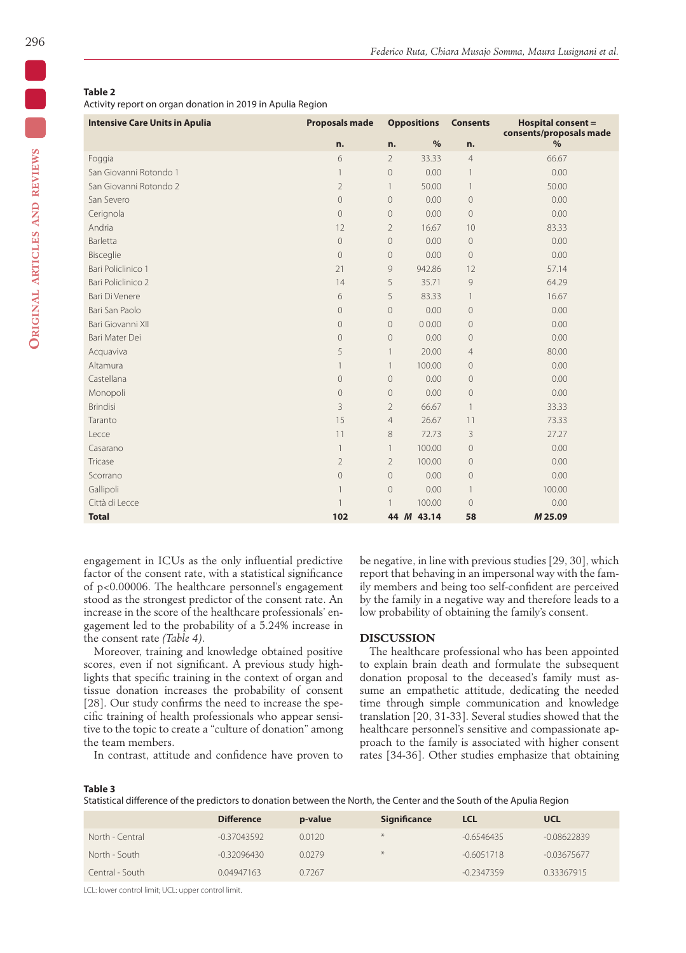**Original articles and reviews**

ORIGINAL ARTICLES AND REVIEWS

# **Table 2**

Activity report on organ donation in 2019 in Apulia Region

| <b>Intensive Care Units in Apulia</b> | <b>Proposals made</b> | <b>Oppositions</b> |            | <b>Consents</b> | <b>Hospital consent =</b><br>consents/proposals made |
|---------------------------------------|-----------------------|--------------------|------------|-----------------|------------------------------------------------------|
|                                       | n.                    | n.                 | $\%$       | n.              | %                                                    |
| Foggia                                | 6                     | $\overline{2}$     | 33.33      | $\overline{4}$  | 66.67                                                |
| San Giovanni Rotondo 1                | $\mathbf{1}$          | $\overline{0}$     | 0.00       | 1               | 0.00                                                 |
| San Giovanni Rotondo 2                | $\overline{2}$        | $\mathbf{1}$       | 50.00      | 1               | 50.00                                                |
| San Severo                            | $\overline{0}$        | $\overline{0}$     | 0.00       | $\mathbf 0$     | 0.00                                                 |
| Cerignola                             | $\overline{0}$        | $\overline{0}$     | 0.00       | $\mathbf 0$     | 0.00                                                 |
| Andria                                | 12                    | $\overline{2}$     | 16.67      | 10              | 83.33                                                |
| Barletta                              | $\overline{0}$        | $\Omega$           | 0.00       | 0               | 0.00                                                 |
| Bisceglie                             | $\mathbf 0$           | $\overline{0}$     | 0.00       | $\mathbf 0$     | 0.00                                                 |
| Bari Policlinico 1                    | 21                    | 9                  | 942.86     | 12              | 57.14                                                |
| Bari Policlinico 2                    | 14                    | 5                  | 35.71      | 9               | 64.29                                                |
| Bari Di Venere                        | 6                     | 5                  | 83.33      | 1               | 16.67                                                |
| Bari San Paolo                        | $\overline{0}$        | $\overline{0}$     | 0.00       | $\mathbf 0$     | 0.00                                                 |
| Bari Giovanni XII                     | $\overline{0}$        | $\overline{0}$     | 00.00      | $\mathbf 0$     | 0.00                                                 |
| Bari Mater Dei                        | $\mathbf 0$           | 0                  | 0.00       | $\mathbf 0$     | 0.00                                                 |
| Acquaviva                             | 5                     | 1                  | 20.00      | $\overline{4}$  | 80.00                                                |
| Altamura                              | $\mathbf{1}$          | 1                  | 100.00     | $\mathcal O$    | 0.00                                                 |
| Castellana                            | $\overline{0}$        | $\overline{0}$     | 0.00       | $\mathbf 0$     | 0.00                                                 |
| Monopoli                              | $\overline{0}$        | 0                  | 0.00       | $\overline{0}$  | 0.00                                                 |
| <b>Brindisi</b>                       | 3                     | $\overline{2}$     | 66.67      | $\mathbf{1}$    | 33.33                                                |
| Taranto                               | 15                    | $\overline{4}$     | 26.67      | 11              | 73.33                                                |
| Lecce                                 | 11                    | 8                  | 72.73      | 3               | 27.27                                                |
| Casarano                              | $\mathbf{1}$          | $\mathbf{1}$       | 100.00     | $\mathbf 0$     | 0.00                                                 |
| Tricase                               | $\overline{2}$        | $\overline{2}$     | 100.00     | $\mathbf 0$     | 0.00                                                 |
| Scorrano                              | $\mathbf 0$           | $\overline{0}$     | 0.00       | $\mathbf 0$     | 0.00                                                 |
| Gallipoli                             | $\mathbf{1}$          | 0                  | 0.00       | $\mathbf{1}$    | 100.00                                               |
| Città di Lecce                        | $\mathbf{1}$          |                    | 100.00     | $\overline{0}$  | 0.00                                                 |
| <b>Total</b>                          | 102                   |                    | 44 M 43.14 | 58              | M 25.09                                              |

engagement in ICUs as the only influential predictive factor of the consent rate, with a statistical significance of p<0.00006. The healthcare personnel's engagement stood as the strongest predictor of the consent rate. An increase in the score of the healthcare professionals' engagement led to the probability of a 5.24% increase in the consent rate *(Table 4)*.

Moreover, training and knowledge obtained positive scores, even if not significant. A previous study highlights that specific training in the context of organ and tissue donation increases the probability of consent [28]. Our study confirms the need to increase the specific training of health professionals who appear sensitive to the topic to create a "culture of donation" among the team members.

In contrast, attitude and confidence have proven to

be negative, in line with previous studies [29, 30], which report that behaving in an impersonal way with the family members and being too self-confident are perceived by the family in a negative way and therefore leads to a low probability of obtaining the family's consent.

## **DISCUSSION**

The healthcare professional who has been appointed to explain brain death and formulate the subsequent donation proposal to the deceased's family must assume an empathetic attitude, dedicating the needed time through simple communication and knowledge translation [20, 31-33]. Several studies showed that the healthcare personnel's sensitive and compassionate approach to the family is associated with higher consent rates [34-36]. Other studies emphasize that obtaining

#### **Table 3**

Statistical difference of the predictors to donation between the North, the Center and the South of the Apulia Region

|                 | <b>Difference</b> | p-value | <b>Significance</b> | <b>LCL</b>   | <b>UCL</b>    |
|-----------------|-------------------|---------|---------------------|--------------|---------------|
| North - Central | $-0.37043592$     | 0.0120  | $*$                 | $-0.6546435$ | $-0.08622839$ |
| North - South   | $-0.32096430$     | 0.0279  | $*$                 | $-0.6051718$ | $-0.03675677$ |
| Central - South | 0.04947163        | 0.7267  |                     | $-0.2347359$ | 0.33367915    |

LCL: lower control limit; UCL: upper control limit.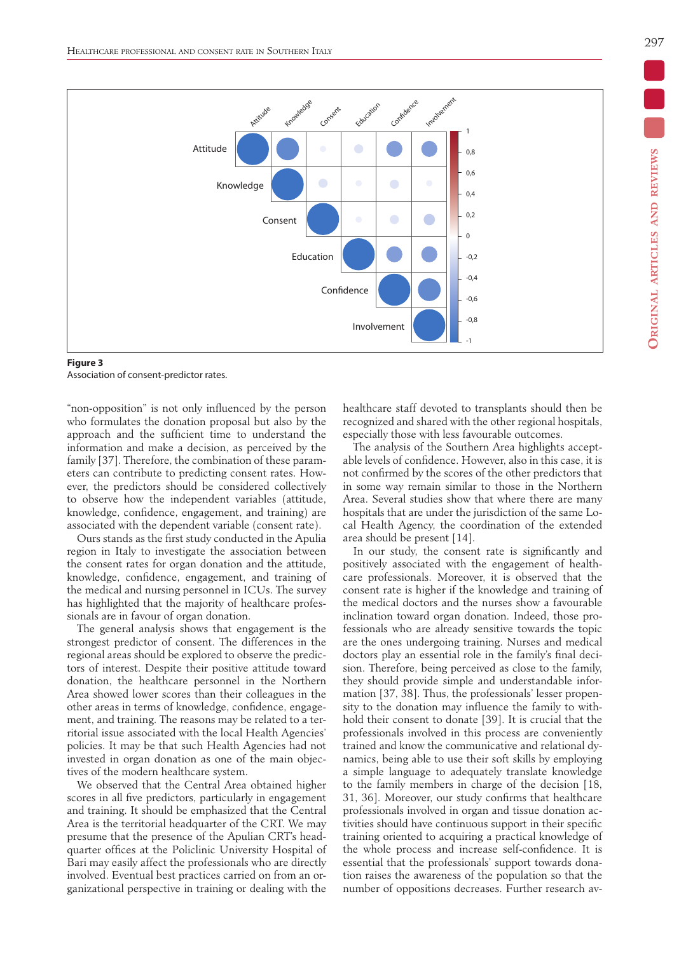297



**Figure 3** Association of consent-predictor rates.

"non-opposition" is not only influenced by the person who formulates the donation proposal but also by the approach and the sufficient time to understand the information and make a decision, as perceived by the family [37]. Therefore, the combination of these parameters can contribute to predicting consent rates. However, the predictors should be considered collectively to observe how the independent variables (attitude, knowledge, confidence, engagement, and training) are associated with the dependent variable (consent rate).

Ours stands as the first study conducted in the Apulia region in Italy to investigate the association between the consent rates for organ donation and the attitude, knowledge, confidence, engagement, and training of the medical and nursing personnel in ICUs. The survey has highlighted that the majority of healthcare professionals are in favour of organ donation.

The general analysis shows that engagement is the strongest predictor of consent. The differences in the regional areas should be explored to observe the predictors of interest. Despite their positive attitude toward donation, the healthcare personnel in the Northern Area showed lower scores than their colleagues in the other areas in terms of knowledge, confidence, engagement, and training. The reasons may be related to a territorial issue associated with the local Health Agencies' policies. It may be that such Health Agencies had not invested in organ donation as one of the main objectives of the modern healthcare system.

We observed that the Central Area obtained higher scores in all five predictors, particularly in engagement and training. It should be emphasized that the Central Area is the territorial headquarter of the CRT. We may presume that the presence of the Apulian CRT's headquarter offices at the Policlinic University Hospital of Bari may easily affect the professionals who are directly involved. Eventual best practices carried on from an organizational perspective in training or dealing with the healthcare staff devoted to transplants should then be recognized and shared with the other regional hospitals, especially those with less favourable outcomes.

The analysis of the Southern Area highlights acceptable levels of confidence. However, also in this case, it is not confirmed by the scores of the other predictors that in some way remain similar to those in the Northern Area. Several studies show that where there are many hospitals that are under the jurisdiction of the same Local Health Agency, the coordination of the extended area should be present [14].

In our study, the consent rate is significantly and positively associated with the engagement of healthcare professionals. Moreover, it is observed that the consent rate is higher if the knowledge and training of the medical doctors and the nurses show a favourable inclination toward organ donation. Indeed, those professionals who are already sensitive towards the topic are the ones undergoing training. Nurses and medical doctors play an essential role in the family's final decision. Therefore, being perceived as close to the family, they should provide simple and understandable information [37, 38]. Thus, the professionals' lesser propensity to the donation may influence the family to withhold their consent to donate [39]. It is crucial that the professionals involved in this process are conveniently trained and know the communicative and relational dynamics, being able to use their soft skills by employing a simple language to adequately translate knowledge to the family members in charge of the decision [18, 31, 36]. Moreover, our study confirms that healthcare professionals involved in organ and tissue donation activities should have continuous support in their specific training oriented to acquiring a practical knowledge of the whole process and increase self-confidence. It is essential that the professionals' support towards donation raises the awareness of the population so that the number of oppositions decreases. Further research av-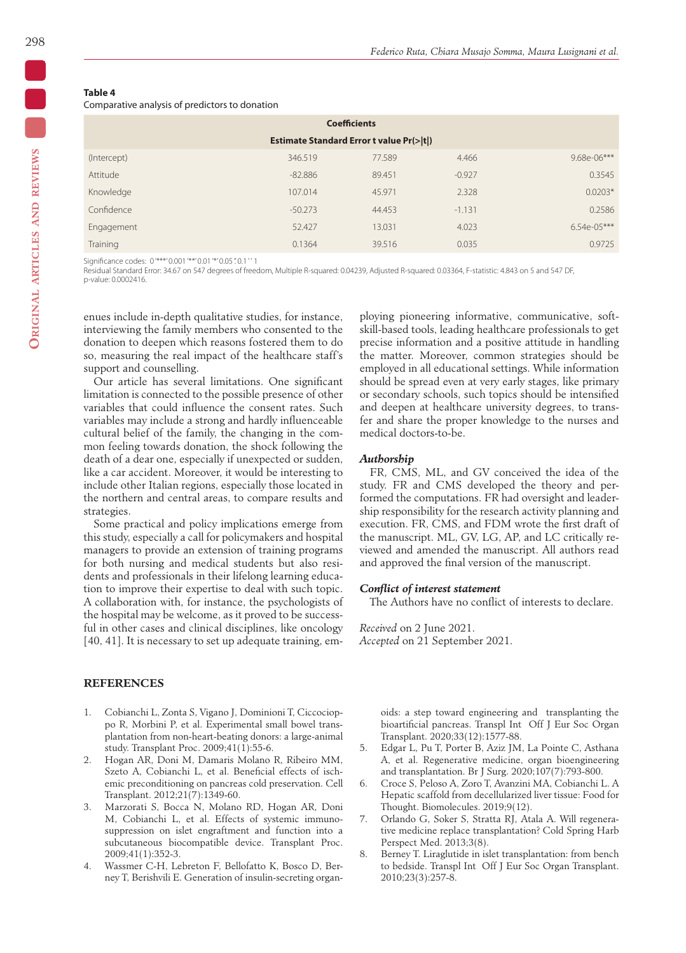## **Table 4**

Comparative analysis of predictors to donation

| <b>Coefficients</b>                                |           |        |          |               |  |  |  |
|----------------------------------------------------|-----------|--------|----------|---------------|--|--|--|
| <b>Estimate Standard Error t value Pr(&gt; t )</b> |           |        |          |               |  |  |  |
| (Intercept)                                        | 346.519   | 77.589 | 4.466    | $9.68e-06***$ |  |  |  |
| Attitude                                           | $-82.886$ | 89.451 | $-0.927$ | 0.3545        |  |  |  |
| Knowledge                                          | 107.014   | 45.971 | 2.328    | $0.0203*$     |  |  |  |
| Confidence                                         | $-50.273$ | 44.453 | $-1.131$ | 0.2586        |  |  |  |
| Engagement                                         | 52.427    | 13.031 | 4.023    | $6.54e-05***$ |  |  |  |
| Training                                           | 0.1364    | 39.516 | 0.035    | 0.9725        |  |  |  |

Significance codes: 0'\*\*\*'0.001'\*\*'0.01'\*'0.05".0.1" 1

Residual Standard Error: 34.67 on 547 degrees of freedom, Multiple R-squared: 0.04239, Adjusted R-squared: 0.03364, F-statistic: 4.843 on 5 and 547 DF, p-value: 0.0002416.

enues include in-depth qualitative studies, for instance, interviewing the family members who consented to the donation to deepen which reasons fostered them to do so, measuring the real impact of the healthcare staff's support and counselling.

Our article has several limitations. One significant limitation is connected to the possible presence of other variables that could influence the consent rates. Such variables may include a strong and hardly influenceable cultural belief of the family, the changing in the common feeling towards donation, the shock following the death of a dear one, especially if unexpected or sudden, like a car accident. Moreover, it would be interesting to include other Italian regions, especially those located in the northern and central areas, to compare results and strategies.

Some practical and policy implications emerge from this study, especially a call for policymakers and hospital managers to provide an extension of training programs for both nursing and medical students but also residents and professionals in their lifelong learning education to improve their expertise to deal with such topic. A collaboration with, for instance, the psychologists of the hospital may be welcome, as it proved to be successful in other cases and clinical disciplines, like oncology [40, 41]. It is necessary to set up adequate training, em-

## **REFERENCES**

- 1. Cobianchi L, Zonta S, Vigano J, Dominioni T, Ciccocioppo R, Morbini P, et al. Experimental small bowel transplantation from non-heart-beating donors: a large-animal study. Transplant Proc. 2009;41(1):55-6.
- 2. Hogan AR, Doni M, Damaris Molano R, Ribeiro MM, Szeto A, Cobianchi L, et al. Beneficial effects of ischemic preconditioning on pancreas cold preservation. Cell Transplant. 2012;21(7):1349-60.
- 3. Marzorati S, Bocca N, Molano RD, Hogan AR, Doni M, Cobianchi L, et al. Effects of systemic immunosuppression on islet engraftment and function into a subcutaneous biocompatible device. Transplant Proc. 2009;41(1):352-3.
- 4. Wassmer C-H, Lebreton F, Bellofatto K, Bosco D, Berney T, Berishvili E. Generation of insulin-secreting organ-

ploying pioneering informative, communicative, softskill-based tools, leading healthcare professionals to get precise information and a positive attitude in handling the matter. Moreover, common strategies should be employed in all educational settings. While information should be spread even at very early stages, like primary or secondary schools, such topics should be intensified and deepen at healthcare university degrees, to transfer and share the proper knowledge to the nurses and medical doctors-to-be.

## *Authorship*

FR, CMS, ML, and GV conceived the idea of the study. FR and CMS developed the theory and performed the computations. FR had oversight and leadership responsibility for the research activity planning and execution. FR, CMS, and FDM wrote the first draft of the manuscript. ML, GV, LG, AP, and LC critically reviewed and amended the manuscript. All authors read and approved the final version of the manuscript.

## *Conflict of interest statement*

The Authors have no conflict of interests to declare.

*Received* on 2 June 2021. *Accepted* on 21 September 2021.

> oids: a step toward engineering and transplanting the bioartificial pancreas. Transpl Int Off J Eur Soc Organ Transplant. 2020;33(12):1577-88.

- 5. Edgar L, Pu T, Porter B, Aziz JM, La Pointe C, Asthana A, et al. Regenerative medicine, organ bioengineering and transplantation. Br J Surg. 2020;107(7):793-800.
- 6. Croce S, Peloso A, Zoro T, Avanzini MA, Cobianchi L. A Hepatic scaffold from decellularized liver tissue: Food for Thought. Biomolecules. 2019;9(12).
- 7. Orlando G, Soker S, Stratta RJ, Atala A. Will regenerative medicine replace transplantation? Cold Spring Harb Perspect Med. 2013;3(8).
- 8. Berney T. Liraglutide in islet transplantation: from bench to bedside. Transpl Int Off J Eur Soc Organ Transplant. 2010;23(3):257-8.